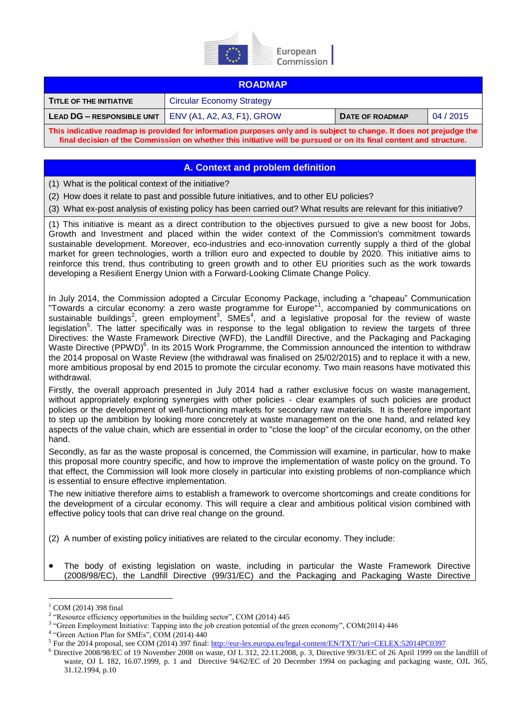

| <b>ROADMAP</b>                                                                                                       |                                  |                 |           |
|----------------------------------------------------------------------------------------------------------------------|----------------------------------|-----------------|-----------|
| TITLE OF THE INITIATIVE                                                                                              | <b>Circular Economy Strategy</b> |                 |           |
| LEAD DG - RESPONSIBLE UNIT                                                                                           | ENV (A1, A2, A3, F1), GROW       | DATE OF ROADMAP | 04 / 2015 |
| This indicative roadman is provided for information nurnoses only and is subject to change. It does not prejudge the |                                  |                 |           |

**This indicative roadmap is provided for information purposes only and is subject to change. It does not prejudge the final decision of the Commission on whether this initiative will be pursued or on its final content and structure.**

## **A. Context and problem definition**

(1) What is the political context of the initiative?

(2) How does it relate to past and possible future initiatives, and to other EU policies?

(3) What ex-post analysis of existing policy has been carried out? What results are relevant for this initiative?

(1) This initiative is meant as a direct contribution to the objectives pursued to give a new boost for Jobs, Growth and Investment and placed within the wider context of the Commission's commitment towards sustainable development. Moreover, eco-industries and eco-innovation currently supply a third of the global market for green technologies, worth a trillion euro and expected to double by 2020. This initiative aims to reinforce this trend, thus contributing to green growth and to other EU priorities such as the work towards developing a Resilient Energy Union with a Forward-Looking Climate Change Policy.

In July 2014, the Commission adopted a Circular Economy Package, including a "chapeau" Communication "Towards a circular economy: a zero waste programme for Europe"<sup>1</sup>, accompanied by communications on sustainable buildings<sup>2</sup>, green employment<sup>3</sup>, SMEs<sup>4</sup>, and a legislative proposal for the review of waste legislation<sup>5</sup>. The latter specifically was in response to the legal obligation to review the targets of three Directives: the Waste Framework Directive (WFD), the Landfill Directive, and the Packaging and Packaging Waste Directive (PPWD)<sup>6</sup>. In its 2015 Work Programme, the Commission announced the intention to withdraw the 2014 proposal on Waste Review (the withdrawal was finalised on 25/02/2015) and to replace it with a new, more ambitious proposal by end 2015 to promote the circular economy. Two main reasons have motivated this withdrawal.

Firstly, the overall approach presented in July 2014 had a rather exclusive focus on waste management, without appropriately exploring synergies with other policies - clear examples of such policies are product policies or the development of well-functioning markets for secondary raw materials. It is therefore important to step up the ambition by looking more concretely at waste management on the one hand, and related key aspects of the value chain, which are essential in order to "close the loop" of the circular economy, on the other hand.

Secondly, as far as the waste proposal is concerned, the Commission will examine, in particular, how to make this proposal more country specific, and how to improve the implementation of waste policy on the ground. To that effect, the Commission will look more closely in particular into existing problems of non-compliance which is essential to ensure effective implementation.

The new initiative therefore aims to establish a framework to overcome shortcomings and create conditions for the development of a circular economy. This will require a clear and ambitious political vision combined with effective policy tools that can drive real change on the ground.

- (2) A number of existing policy initiatives are related to the circular economy. They include:
- The body of existing legislation on waste, including in particular the Waste Framework Directive (2008/98/EC), the Landfill Directive (99/31/EC) and the Packaging and Packaging Waste Directive

<u>.</u>

 $^{1}$  COM (2014) 398 final

<sup>&</sup>lt;sup>2</sup> "Resource efficiency opportunities in the building sector", COM (2014) 445

<sup>&</sup>lt;sup>3</sup> "Green Employment Initiative: Tapping into the job creation potential of the green economy", COM(2014) 446

<sup>&</sup>lt;sup>4</sup> "Green Action Plan for SMEs", COM (2014) 440

<sup>&</sup>lt;sup>5</sup> For the 2014 proposal, see COM (2014) 397 final[: http://eur-lex.europa.eu/legal-content/EN/TXT/?uri=CELEX:52014PC0397](http://eur-lex.europa.eu/legal-content/EN/TXT/?uri=CELEX:52014PC0397)

 $^6$  Directive 2008/98/EC of 19 November 2008 on waste, OJ L 312, 22.11.2008, p. 3, Directive 99/31/EC of 26 April 1999 on the landfill of waste, OJ L 182, 16.07.1999, p. 1 and Directive 94/62/EC of 20 December 1994 on packaging and packaging waste, OJL 365, 31.12.1994, p.10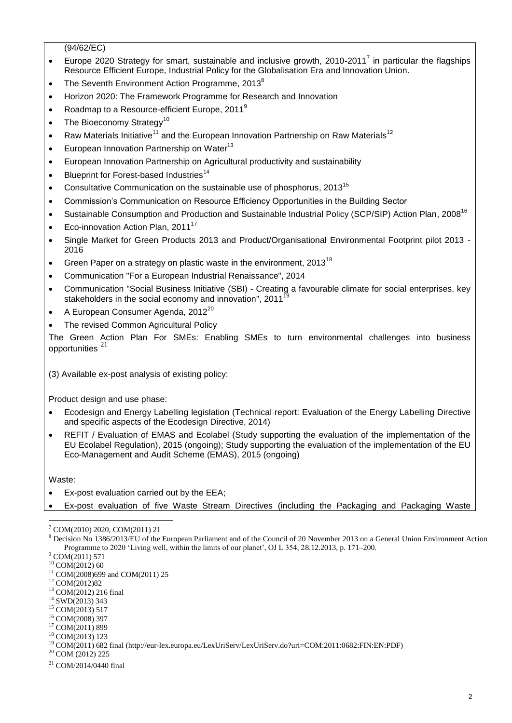(94/62/EC)

- Europe 2020 Strategy for smart, sustainable and inclusive growth, 2010-2011<sup>7</sup> in particular the flagships Resource Efficient Europe, Industrial Policy for the Globalisation Era and Innovation Union.
- The Seventh Environment Action Programme, 2013<sup>8</sup>
- Horizon 2020: The Framework Programme for Research and Innovation
- Roadmap to a Resource-efficient Europe,  $2011^9$
- The Bioeconomy Strategy<sup>10</sup>
- Raw Materials Initiative<sup>11</sup> and the European Innovation Partnership on Raw Materials<sup>12</sup>
- European Innovation Partnership on Water<sup>13</sup>
- European Innovation Partnership on Agricultural productivity and sustainability
- $\bullet$  Blueprint for Forest-based Industries<sup>14</sup>
- Consultative Communication on the sustainable use of phosphorus, 2013<sup>15</sup>
- Commission's Communication on Resource Efficiency Opportunities in the Building Sector
- Sustainable Consumption and Production and Sustainable Industrial Policy (SCP/SIP) Action Plan, 2008<sup>16</sup>
- Eco-innovation Action Plan. 2011<sup>17</sup>
- Single Market for Green Products 2013 and Product/Organisational Environmental Footprint pilot 2013 2016
- Green Paper on a strategy on plastic waste in the environment,  $2013^{18}$
- Communication "For a European Industrial Renaissance", 2014
- Communication "Social Business Initiative (SBI) Creating a favourable climate for social enterprises, key stakeholders in the social economy and innovation", 2011
- A European Consumer Agenda, 2012 $^{20}$
- The revised Common Agricultural Policy

The Green Action Plan For SMEs: Enabling SMEs to turn environmental challenges into business opportunities<sup>21</sup>

(3) Available ex-post analysis of existing policy:

Product design and use phase:

- Ecodesign and Energy Labelling legislation (Technical report: Evaluation of the Energy Labelling Directive and specific aspects of the Ecodesign Directive, 2014)
- REFIT / Evaluation of EMAS and Ecolabel (Study supporting the evaluation of the implementation of the EU Ecolabel Regulation), 2015 (ongoing); Study supporting the evaluation of the implementation of the EU Eco-Management and Audit Scheme (EMAS), 2015 (ongoing)

Waste:

- Ex-post evaluation carried out by the EEA;
- Ex-post evaluation of five Waste Stream Directives (including the Packaging and Packaging Waste

- <sup>11</sup> COM(2008)699 and COM(2011) 25
- <sup>12</sup> COM(2012)82

<sup>14</sup> SWD(2013) 343

<sup>1</sup> <sup>7</sup> COM(2010) 2020, COM(2011) 21

<sup>8</sup> Decision No 1386/2013/EU of the European Parliament and of the Council of 20 November 2013 on a General Union Environment Action Programme to 2020 'Living well, within the limits of our planet', OJ L 354, 28.12.2013, p. 171–200.

<sup>9</sup> COM(2011) 571

 $10$  COM(2012) 60

<sup>13</sup> COM(2012) 216 final

<sup>&</sup>lt;sup>15</sup> COM(2013) 517 <sup>16</sup> COM(2008) 397

<sup>&</sup>lt;sup>17</sup> COM(2011) 899

<sup>18</sup> COM(2013) 123

<sup>19</sup> COM(2011) 682 final (http://eur-lex.europa.eu/LexUriServ/LexUriServ.do?uri=COM:2011:0682:FIN:EN:PDF)

<sup>20</sup> COM (2012) 225

 $^{21}$  COM/2014/0440 final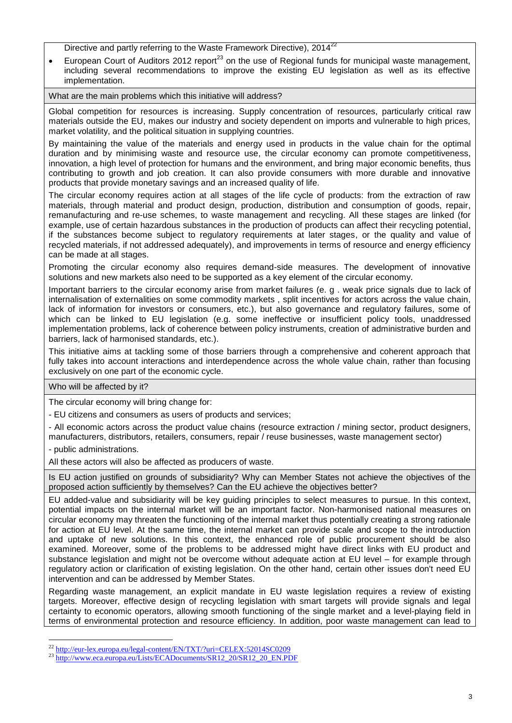Directive and partly referring to the Waste Framework Directive), 2014<sup>22</sup>

European Court of Auditors 2012 report<sup>23</sup> on the use of Regional funds for municipal waste management, including several recommendations to improve the existing EU legislation as well as its effective implementation.

What are the main problems which this initiative will address?

Global competition for resources is increasing. Supply concentration of resources, particularly critical raw materials outside the EU, makes our industry and society dependent on imports and vulnerable to high prices, market volatility, and the political situation in supplying countries.

By maintaining the value of the materials and energy used in products in the value chain for the optimal duration and by minimising waste and resource use, the circular economy can promote competitiveness, innovation, a high level of protection for humans and the environment, and bring major economic benefits, thus contributing to growth and job creation. It can also provide consumers with more durable and innovative products that provide monetary savings and an increased quality of life.

The circular economy requires action at all stages of the life cycle of products: from the extraction of raw materials, through material and product design, production, distribution and consumption of goods, repair, remanufacturing and re-use schemes, to waste management and recycling. All these stages are linked (for example, use of certain hazardous substances in the production of products can affect their recycling potential, if the substances become subject to regulatory requirements at later stages, or the quality and value of recycled materials, if not addressed adequately), and improvements in terms of resource and energy efficiency can be made at all stages.

Promoting the circular economy also requires demand-side measures. The development of innovative solutions and new markets also need to be supported as a key element of the circular economy.

Important barriers to the circular economy arise from market failures (e. g . weak price signals due to lack of internalisation of externalities on some commodity markets , split incentives for actors across the value chain, lack of information for investors or consumers, etc.), but also governance and regulatory failures, some of which can be linked to EU legislation (e.g. some ineffective or insufficient policy tools, unaddressed implementation problems, lack of coherence between policy instruments, creation of administrative burden and barriers, lack of harmonised standards, etc.).

This initiative aims at tackling some of those barriers through a comprehensive and coherent approach that fully takes into account interactions and interdependence across the whole value chain, rather than focusing exclusively on one part of the economic cycle.

Who will be affected by it?

The circular economy will bring change for:

- EU citizens and consumers as users of products and services;

- All economic actors across the product value chains (resource extraction / mining sector, product designers, manufacturers, distributors, retailers, consumers, repair / reuse businesses, waste management sector)

- public administrations.

All these actors will also be affected as producers of waste.

Is EU action justified on grounds of subsidiarity? Why can Member States not achieve the objectives of the proposed action sufficiently by themselves? Can the EU achieve the objectives better?

EU added-value and subsidiarity will be key guiding principles to select measures to pursue. In this context, potential impacts on the internal market will be an important factor. Non-harmonised national measures on circular economy may threaten the functioning of the internal market thus potentially creating a strong rationale for action at EU level. At the same time, the internal market can provide scale and scope to the introduction and uptake of new solutions. In this context, the enhanced role of public procurement should be also examined. Moreover, some of the problems to be addressed might have direct links with EU product and substance legislation and might not be overcome without adequate action at EU level – for example through regulatory action or clarification of existing legislation. On the other hand, certain other issues don't need EU intervention and can be addressed by Member States.

Regarding waste management, an explicit mandate in EU waste legislation requires a review of existing targets. Moreover, effective design of recycling legislation with smart targets will provide signals and legal certainty to economic operators, allowing smooth functioning of the single market and a level-playing field in terms of environmental protection and resource efficiency. In addition, poor waste management can lead to

<sup>&</sup>lt;u>.</u> <sup>22</sup> <http://eur-lex.europa.eu/legal-content/EN/TXT/?uri=CELEX:52014SC0209>

<sup>&</sup>lt;sup>23</sup> [http://www.eca.europa.eu/Lists/ECADocuments/SR12\\_20/SR12\\_20\\_EN.PDF](http://www.eca.europa.eu/Lists/ECADocuments/SR12_20/SR12_20_EN.PDF)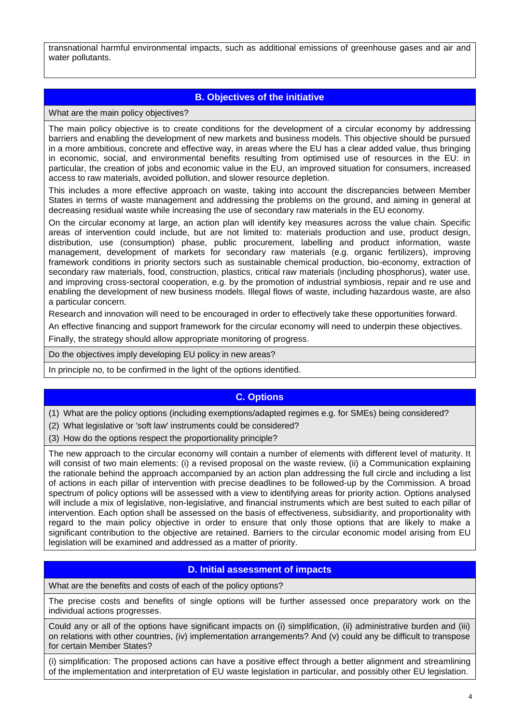transnational harmful environmental impacts, such as additional emissions of greenhouse gases and air and water pollutants.

# **B. Objectives of the initiative**

What are the main policy objectives?

The main policy objective is to create conditions for the development of a circular economy by addressing barriers and enabling the development of new markets and business models. This objective should be pursued in a more ambitious, concrete and effective way, in areas where the EU has a clear added value, thus bringing in economic, social, and environmental benefits resulting from optimised use of resources in the EU: in particular, the creation of jobs and economic value in the EU, an improved situation for consumers, increased access to raw materials, avoided pollution, and slower resource depletion.

This includes a more effective approach on waste, taking into account the discrepancies between Member States in terms of waste management and addressing the problems on the ground, and aiming in general at decreasing residual waste while increasing the use of secondary raw materials in the EU economy.

On the circular economy at large, an action plan will identify key measures across the value chain. Specific areas of intervention could include, but are not limited to: materials production and use, product design, distribution, use (consumption) phase, public procurement, labelling and product information, waste management, development of markets for secondary raw materials (e.g. organic fertilizers), improving framework conditions in priority sectors such as sustainable chemical production, bio-economy, extraction of secondary raw materials, food, construction, plastics, critical raw materials (including phosphorus), water use, and improving cross-sectoral cooperation, e.g. by the promotion of industrial symbiosis, repair and re use and enabling the development of new business models. Illegal flows of waste, including hazardous waste, are also a particular concern.

Research and innovation will need to be encouraged in order to effectively take these opportunities forward.

An effective financing and support framework for the circular economy will need to underpin these objectives.

Finally, the strategy should allow appropriate monitoring of progress.

Do the objectives imply developing EU policy in new areas?

In principle no, to be confirmed in the light of the options identified.

#### **C. Options**

(1) What are the policy options (including exemptions/adapted regimes e.g. for SMEs) being considered?

(2) What legislative or 'soft law' instruments could be considered?

(3) How do the options respect the proportionality principle?

The new approach to the circular economy will contain a number of elements with different level of maturity. It will consist of two main elements: (i) a revised proposal on the waste review, (ii) a Communication explaining the rationale behind the approach accompanied by an action plan addressing the full circle and including a list of actions in each pillar of intervention with precise deadlines to be followed-up by the Commission. A broad spectrum of policy options will be assessed with a view to identifying areas for priority action. Options analysed will include a mix of legislative, non-legislative, and financial instruments which are best suited to each pillar of intervention. Each option shall be assessed on the basis of effectiveness, subsidiarity, and proportionality with regard to the main policy objective in order to ensure that only those options that are likely to make a significant contribution to the objective are retained. Barriers to the circular economic model arising from EU legislation will be examined and addressed as a matter of priority.

#### **D. Initial assessment of impacts**

What are the benefits and costs of each of the policy options?

The precise costs and benefits of single options will be further assessed once preparatory work on the individual actions progresses.

Could any or all of the options have significant impacts on (i) simplification, (ii) administrative burden and (iii) on relations with other countries, (iv) implementation arrangements? And (v) could any be difficult to transpose for certain Member States?

(i) simplification: The proposed actions can have a positive effect through a better alignment and streamlining of the implementation and interpretation of EU waste legislation in particular, and possibly other EU legislation.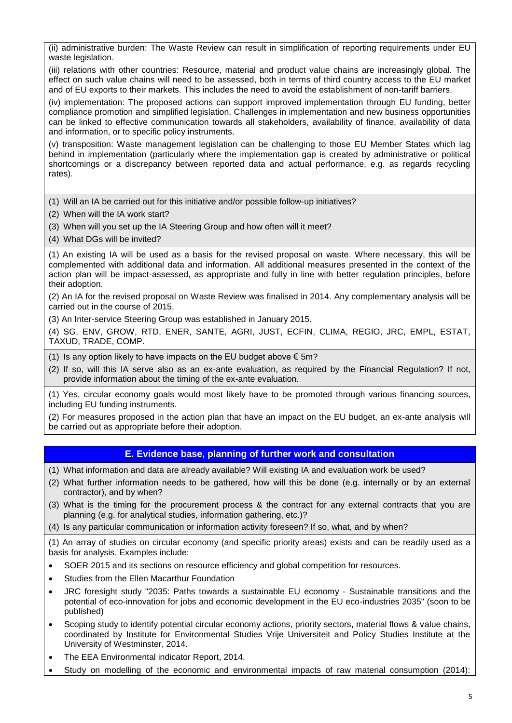(ii) administrative burden: The Waste Review can result in simplification of reporting requirements under EU waste legislation.

(iii) relations with other countries: Resource, material and product value chains are increasingly global. The effect on such value chains will need to be assessed, both in terms of third country access to the EU market and of EU exports to their markets. This includes the need to avoid the establishment of non-tariff barriers.

(iv) implementation: The proposed actions can support improved implementation through EU funding, better compliance promotion and simplified legislation. Challenges in implementation and new business opportunities can be linked to effective communication towards all stakeholders, availability of finance, availability of data and information, or to specific policy instruments.

(v) transposition: Waste management legislation can be challenging to those EU Member States which lag behind in implementation (particularly where the implementation gap is created by administrative or political shortcomings or a discrepancy between reported data and actual performance, e.g. as regards recycling rates).

(1) Will an IA be carried out for this initiative and/or possible follow-up initiatives?

- (2) When will the IA work start?
- (3) When will you set up the IA Steering Group and how often will it meet?
- (4) What DGs will be invited?

(1) An existing IA will be used as a basis for the revised proposal on waste. Where necessary, this will be complemented with additional data and information. All additional measures presented in the context of the action plan will be impact-assessed, as appropriate and fully in line with better regulation principles, before their adoption.

(2) An IA for the revised proposal on Waste Review was finalised in 2014. Any complementary analysis will be carried out in the course of 2015.

(3) An Inter-service Steering Group was established in January 2015.

(4) SG, ENV, GROW, RTD, ENER, SANTE, AGRI, JUST, ECFIN, CLIMA, REGIO, JRC, EMPL, ESTAT, TAXUD, TRADE, COMP.

(1) Is any option likely to have impacts on the EU budget above  $\epsilon$  5m?

(2) If so, will this IA serve also as an ex-ante evaluation, as required by the Financial Regulation? If not, provide information about the timing of the ex-ante evaluation.

(1) Yes, circular economy goals would most likely have to be promoted through various financing sources, including EU funding instruments.

(2) For measures proposed in the action plan that have an impact on the EU budget, an ex-ante analysis will be carried out as appropriate before their adoption.

## **E. Evidence base, planning of further work and consultation**

- (1) What information and data are already available? Will existing IA and evaluation work be used?
- (2) What further information needs to be gathered, how will this be done (e.g. internally or by an external contractor), and by when?
- (3) What is the timing for the procurement process & the contract for any external contracts that you are planning (e.g. for analytical studies, information gathering, etc.)?
- (4) Is any particular communication or information activity foreseen? If so, what, and by when?

(1) An array of studies on circular economy (and specific priority areas) exists and can be readily used as a basis for analysis. Examples include:

- SOER 2015 and its sections on resource efficiency and global competition for resources.
- Studies from the Ellen Macarthur Foundation
- JRC foresight study "2035: Paths towards a sustainable EU economy Sustainable transitions and the potential of eco-innovation for jobs and economic development in the EU eco-industries 2035" (soon to be published)
- Scoping study to identify potential circular economy actions, priority sectors, material flows & value chains, coordinated by Institute for Environmental Studies Vrije Universiteit and Policy Studies Institute at the University of Westminster, 2014.
- The EEA Environmental indicator Report, 2014.
- Study on modelling of the economic and environmental impacts of raw material consumption (2014):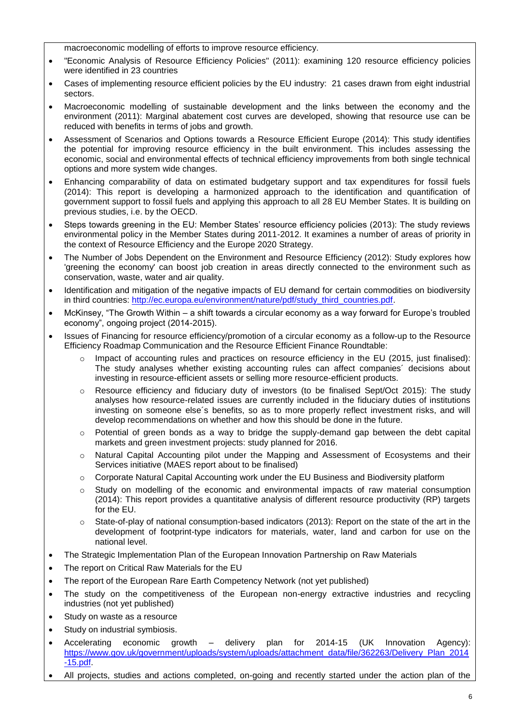macroeconomic modelling of efforts to improve resource efficiency.

- "Economic Analysis of Resource Efficiency Policies" (2011): examining 120 resource efficiency policies were identified in 23 countries
- Cases of implementing resource efficient policies by the EU industry: 21 cases drawn from eight industrial sectors.
- Macroeconomic modelling of sustainable development and the links between the economy and the environment (2011): Marginal abatement cost curves are developed, showing that resource use can be reduced with benefits in terms of jobs and growth.
- Assessment of Scenarios and Options towards a Resource Efficient Europe (2014): This study identifies the potential for improving resource efficiency in the built environment. This includes assessing the economic, social and environmental effects of technical efficiency improvements from both single technical options and more system wide changes.
- Enhancing comparability of data on estimated budgetary support and tax expenditures for fossil fuels (2014): This report is developing a harmonized approach to the identification and quantification of government support to fossil fuels and applying this approach to all 28 EU Member States. It is building on previous studies, i.e. by the OECD.
- Steps towards greening in the EU: Member States' resource efficiency policies (2013): The study reviews environmental policy in the Member States during 2011-2012. It examines a number of areas of priority in the context of Resource Efficiency and the Europe 2020 Strategy.
- The Number of Jobs Dependent on the Environment and Resource Efficiency (2012): Study explores how 'greening the economy' can boost job creation in areas directly connected to the environment such as conservation, waste, water and air quality.
- Identification and mitigation of the negative impacts of EU demand for certain commodities on biodiversity in third countries: [http://ec.europa.eu/environment/nature/pdf/study\\_third\\_countries.pdf.](http://ec.europa.eu/environment/nature/pdf/study_third_countries.pdf)
- McKinsey, "The Growth Within a shift towards a circular economy as a way forward for Europe's troubled economy", ongoing project (2014-2015).
- Issues of Financing for resource efficiency/promotion of a circular economy as a follow-up to the Resource Efficiency Roadmap Communication and the Resource Efficient Finance Roundtable:
	- $\circ$  Impact of accounting rules and practices on resource efficiency in the EU (2015, just finalised): The study analyses whether existing accounting rules can affect companies´ decisions about investing in resource-efficient assets or selling more resource-efficient products.
	- $\circ$  Resource efficiency and fiduciary duty of investors (to be finalised Sept/Oct 2015): The study analyses how resource-related issues are currently included in the fiduciary duties of institutions investing on someone else´s benefits, so as to more properly reflect investment risks, and will develop recommendations on whether and how this should be done in the future.
	- $\circ$  Potential of green bonds as a way to bridge the supply-demand gap between the debt capital markets and green investment projects: study planned for 2016.
	- o Natural Capital Accounting pilot under the Mapping and Assessment of Ecosystems and their Services initiative (MAES report about to be finalised)
	- $\circ$  Corporate Natural Capital Accounting work under the EU Business and Biodiversity platform
	- $\circ$  Study on modelling of the economic and environmental impacts of raw material consumption (2014): This report provides a quantitative analysis of different resource productivity (RP) targets for the EU.
	- $\circ$  State-of-play of national consumption-based indicators (2013): Report on the state of the art in the development of footprint-type indicators for materials, water, land and carbon for use on the national level.
- The Strategic Implementation Plan of the European Innovation Partnership on Raw Materials
- The report on Critical Raw Materials for the EU
- The report of the European Rare Earth Competency Network (not yet published)
- The study on the competitiveness of the European non-energy extractive industries and recycling industries (not yet published)
- Study on waste as a resource
- Study on industrial symbiosis.
- Accelerating economic growth delivery plan for 2014-15 (UK Innovation Agency): [https://www.gov.uk/government/uploads/system/uploads/attachment\\_data/file/362263/Delivery\\_Plan\\_2014](https://www.gov.uk/government/uploads/system/uploads/attachment_data/file/362263/Delivery_Plan_2014-15.pdf) [-15.pdf.](https://www.gov.uk/government/uploads/system/uploads/attachment_data/file/362263/Delivery_Plan_2014-15.pdf)
- All projects, studies and actions completed, on-going and recently started under the action plan of the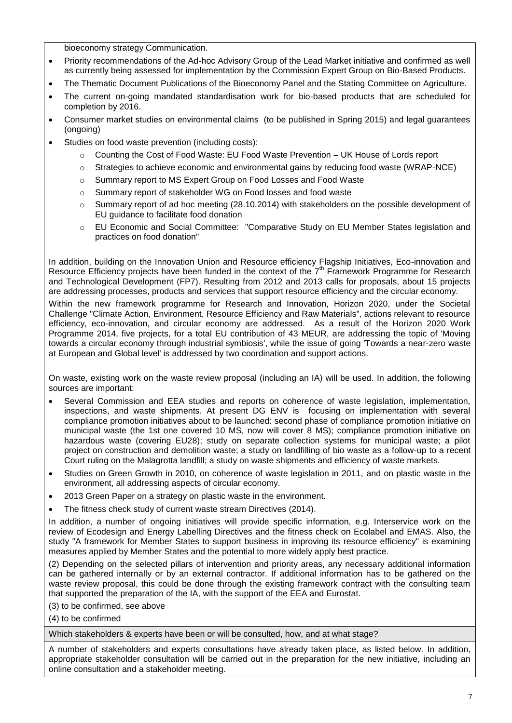bioeconomy strategy Communication.

- Priority recommendations of the Ad-hoc Advisory Group of the Lead Market initiative and confirmed as well as currently being assessed for implementation by the Commission Expert Group on Bio-Based Products.
- The Thematic Document Publications of the Bioeconomy Panel and the Stating Committee on Agriculture.
- The current on-going mandated standardisation work for bio-based products that are scheduled for completion by 2016.
- Consumer market studies on environmental claims (to be published in Spring 2015) and legal guarantees (ongoing)
- Studies on food waste prevention (including costs):
	- o [Counting the Cost of Food Waste: EU Food Waste Prevention –](http://www.parliament.uk/documents/lords-committees/eu-sub-com-d/food-waste-prevention/154.pdf) UK House of Lords report
	- o [Strategies to achieve economic and environmental gains by reducing food waste \(WRAP-NCE\)](http://newclimateeconomy.report/wp-content/uploads/2015/02/WRAP-NCE_Economic-environmental-gains-food-waste.pdf)
	- o [Summary report to MS Expert Group on Food Losses and Food Waste](http://ec.europa.eu/food/safety/food_waste/eu_actions/member_states/docs/20141107_sum_tor_en.pdf)
	- o [Summary report of stakeholder WG on Food losses and food waste](http://ec.europa.eu/dgs/health_food-safety/dgs_consultations/docs/summary_20140508_en.pdf)
	- $\circ$  Summary report of ad hoc meeting (28.10.2014) with stakeholders on the possible development of [EU guidance to facilitate food donation](http://ec.europa.eu/dgs/health_food-safety/dgs_consultations/docs/20141028_summary_report_en.pdf)
	- o EU Economic and Social Committee: ["Comparative Study on EU Member States legislation and](http://www.eesc.europa.eu/resources/docs/executive-summary_comparative-study-on-eu-member-states-legislation-and-practices-on-food-donation.pdf)  [practices on food donation"](http://www.eesc.europa.eu/resources/docs/executive-summary_comparative-study-on-eu-member-states-legislation-and-practices-on-food-donation.pdf)

In addition, building on the Innovation Union and Resource efficiency Flagship Initiatives, Eco-innovation and Resource Efficiency projects have been funded in the context of the  $7<sup>th</sup>$  Framework Programme for Research and Technological Development (FP7). Resulting from 2012 and 2013 calls for proposals, about 15 projects are addressing processes, products and services that support resource efficiency and the circular economy.

Within the new framework programme for Research and Innovation, Horizon 2020, under the Societal Challenge "Climate Action, Environment, Resource Efficiency and Raw Materials", actions relevant to resource efficiency, eco-innovation, and circular economy are addressed. As a result of the Horizon 2020 Work Programme 2014, five projects, for a total EU contribution of 43 MEUR, are addressing the topic of 'Moving towards a circular economy through industrial symbiosis', while the issue of going 'Towards a near-zero waste at European and Global level' is addressed by two coordination and support actions.

On waste, existing work on the waste review proposal (including an IA) will be used. In addition, the following sources are important:

- Several Commission and EEA studies and reports on coherence of waste legislation, implementation, inspections, and waste shipments. At present DG ENV is focusing on implementation with several compliance promotion initiatives about to be launched: second phase of compliance promotion initiative on municipal waste (the 1st one covered 10 MS, now will cover 8 MS); compliance promotion initiative on hazardous waste (covering EU28); study on separate collection systems for municipal waste; a pilot project on construction and demolition waste; a study on landfilling of bio waste as a follow-up to a recent Court ruling on the Malagrotta landfill; a study on waste shipments and efficiency of waste markets.
- Studies on Green Growth in 2010, on coherence of waste legislation in 2011, and on plastic waste in the environment, all addressing aspects of circular economy.
- 2013 Green Paper on a strategy on plastic waste in the environment.
- The fitness check study of current waste stream Directives (2014).

In addition, a number of ongoing initiatives will provide specific information, e.g. Interservice work on the review of Ecodesign and Energy Labelling Directives and the fitness check on Ecolabel and EMAS. Also, the study "A framework for Member States to support business in improving its resource efficiency" is examining measures applied by Member States and the potential to more widely apply best practice.

(2) Depending on the selected pillars of intervention and priority areas, any necessary additional information can be gathered internally or by an external contractor. If additional information has to be gathered on the waste review proposal, this could be done through the existing framework contract with the consulting team that supported the preparation of the IA, with the support of the EEA and Eurostat.

(3) to be confirmed, see above

(4) to be confirmed

Which stakeholders & experts have been or will be consulted, how, and at what stage?

A number of stakeholders and experts consultations have already taken place, as listed below. In addition, appropriate stakeholder consultation will be carried out in the preparation for the new initiative, including an online consultation and a stakeholder meeting.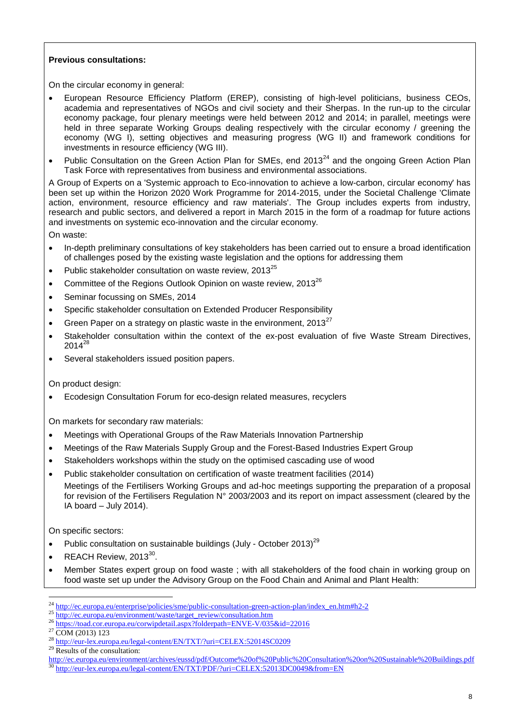### **Previous consultations:**

On the circular economy in general:

- European Resource Efficiency Platform (EREP), consisting of high-level politicians, business CEOs, academia and representatives of NGOs and civil society and their Sherpas. In the run-up to the circular economy package, four plenary meetings were held between 2012 and 2014; in parallel, meetings were held in three separate Working Groups dealing respectively with the circular economy / greening the economy (WG I), setting objectives and measuring progress (WG II) and framework conditions for investments in resource efficiency (WG III).
- Public Consultation on the Green Action Plan for SMEs, end  $2013<sup>24</sup>$  and the ongoing Green Action Plan Task Force with representatives from business and environmental associations.

A Group of Experts on a 'Systemic approach to Eco-innovation to achieve a low-carbon, circular economy' has been set up within the Horizon 2020 Work Programme for 2014-2015, under the Societal Challenge 'Climate action, environment, resource efficiency and raw materials'. The Group includes experts from industry, research and public sectors, and delivered a report in March 2015 in the form of a roadmap for future actions and investments on systemic eco-innovation and the circular economy.

On waste:

- In-depth preliminary consultations of key stakeholders has been carried out to ensure a broad identification of challenges posed by the existing waste legislation and the options for addressing them
- Public stakeholder consultation on waste review, 2013<sup>25</sup>
- Committee of the Regions Outlook Opinion on waste review, 2013<sup>26</sup>
- Seminar focussing on SMEs, 2014
- Specific stakeholder consultation on Extended Producer Responsibility
- Green Paper on a strategy on plastic waste in the environment.  $2013^{27}$
- Stakeholder consultation within the context of the ex-post evaluation of five Waste Stream Directives,  $2014^{28}$
- Several stakeholders issued position papers.

On product design:

Ecodesign Consultation Forum for eco-design related measures, recyclers

On markets for secondary raw materials:

- Meetings with Operational Groups of the Raw Materials Innovation Partnership
- Meetings of the Raw Materials Supply Group and the Forest-Based Industries Expert Group
- Stakeholders workshops within the study on the optimised cascading use of wood
- Public stakeholder consultation on certification of waste treatment facilities (2014)
- Meetings of the Fertilisers Working Groups and ad-hoc meetings supporting the preparation of a proposal for revision of the Fertilisers Regulation N° 2003/2003 and its report on impact assessment (cleared by the IA board – July 2014).

On specific sectors:

- Public consultation on sustainable buildings (July October 2013)<sup>29</sup>
- REACH Review,  $2013^{30}$ .
- Member States expert group on food waste ; with all stakeholders of the food chain in working group on food waste set up under the Advisory Group on the Food Chain and Animal and Plant Health:

1

<sup>&</sup>lt;sup>24</sup> [http://ec.europa.eu/enterprise/policies/sme/public-consultation-green-action-plan/index\\_en.htm#h2-2](http://ec.europa.eu/enterprise/policies/sme/public-consultation-green-action-plan/index_en.htm#h2-2)

<sup>&</sup>lt;sup>25</sup> [http://ec.europa.eu/environment/waste/target\\_review/consultation.htm](http://ec.europa.eu/environment/waste/target_review/consultation.htm)

<sup>26</sup> <https://toad.cor.europa.eu/corwipdetail.aspx?folderpath=ENVE-V/035&id=22016>

 $27$  COM (2013) 123

<sup>&</sup>lt;sup>28</sup> <http://eur-lex.europa.eu/legal-content/EN/TXT/?uri=CELEX:52014SC0209>

Results of the consultation:

<http://ec.europa.eu/environment/archives/eussd/pdf/Outcome%20of%20Public%20Consultation%20on%20Sustainable%20Buildings.pdf> <sup>30</sup> <http://eur-lex.europa.eu/legal-content/EN/TXT/PDF/?uri=CELEX:52013DC0049&from=EN>